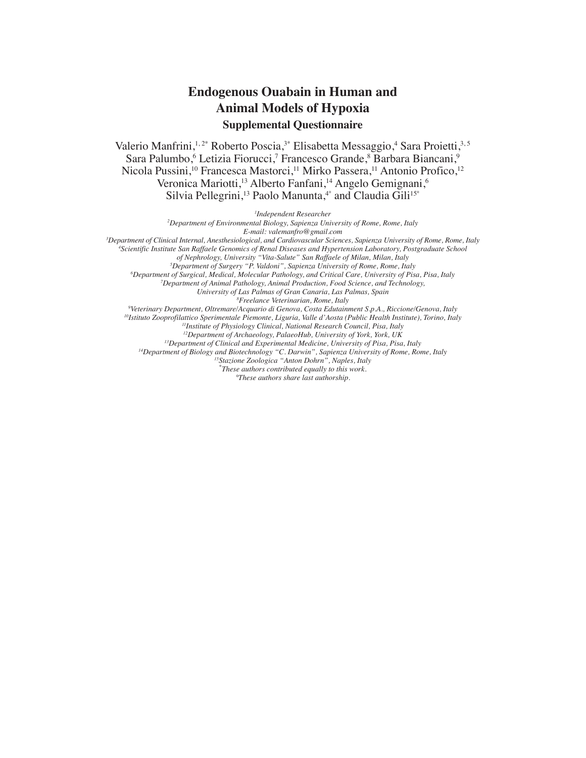## **Endogenous Ouabain in Human and Animal Models of Hypoxia Supplemental Questionnaire**

Valerio Manfrini,<sup>1,2\*</sup> Roberto Poscia,<sup>3\*</sup> Elisabetta Messaggio,<sup>4</sup> Sara Proietti,<sup>3,5</sup> Sara Palumbo,<sup>6</sup> Letizia Fiorucci,<sup>7</sup> Francesco Grande,<sup>8</sup> Barbara Biancani,<sup>9</sup> Nicola Pussini,<sup>10</sup> Francesca Mastorci,<sup>11</sup> Mirko Passera,<sup>11</sup> Antonio Profico,<sup>12</sup> Veronica Mariotti,<sup>13</sup> Alberto Fanfani,<sup>14</sup> Angelo Gemignani,<sup>6</sup> Silvia Pellegrini,<sup>13</sup> Paolo Manunta,<sup>4°</sup> and Claudia Gili<sup>15°</sup>

*1 Independent Researcher*

*2 Department of Environmental Biology, Sapienza University of Rome, Rome, Italy*

*E-mail: valemanfro@gmail.com*

*3 Department of Clinical Internal, Anesthesiological, and Cardiovascular Sciences, Sapienza University of Rome, Rome, Italy 4*

*Scientific Institute San Raffaele Genomics of Renal Diseases and Hypertension Laboratory, Postgraduate School* 

*of Nephrology, University "Vita-Salute" San Raffaele of Milan, Milan, Italy*

*5 Department of Surgery "P. Valdoni", Sapienza University of Rome, Rome, Italy*

*6 Department of Surgical, Medical, Molecular Pathology, and Critical Care, University of Pisa, Pisa, Italy*

*7 Department of Animal Pathology, Animal Production, Food Science, and Technology, University of Las Palmas of Gran Canaria, Las Palmas, Spain*

*8 Freelance Veterinarian, Rome, Italy*

*9 Veterinary Department, Oltremare/Acquario di Genova, Costa Edutainment S.p.A., Riccione/Genova, Italy*

*10Istituto Zooprofilattico Sperimentale Piemonte, Liguria, Valle d'Aosta (Public Health Institute), Torino, Italy*

*11Institute of Physiology Clinical, National Research Council, Pisa, Italy*

*12Department of Archaeology, PalaeoHub, University of York, York, UK*

*13Department of Clinical and Experimental Medicine, University of Pisa, Pisa, Italy*

*14Department of Biology and Biotechnology "C. Darwin", Sapienza University of Rome, Rome, Italy*

*15Stazione Zoologica "Anton Dohrn", Naples, Italy*

*\* These authors contributed equally to this work.*

*°These authors share last authorship.*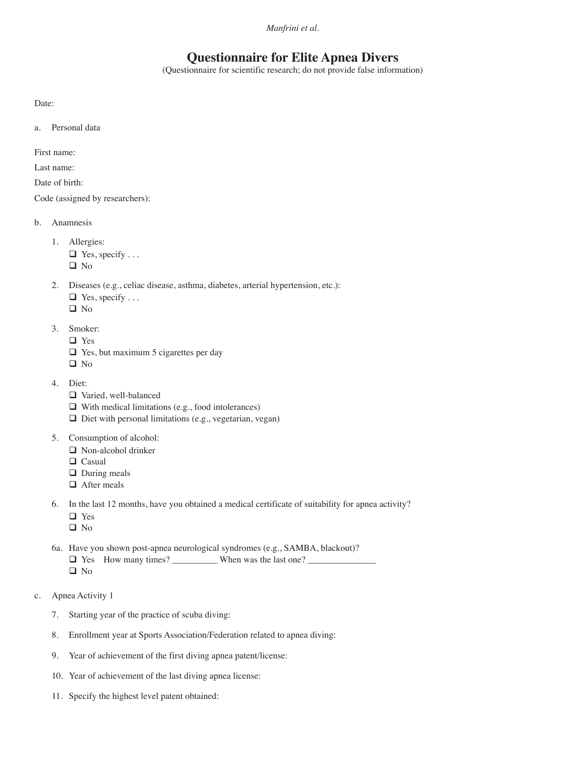*Manfrini et al.*

## **Questionnaire for Elite Apnea Divers**

(Questionnaire for scientific research; do not provide false information)

Date:

a. Personal data

First name:

Last name:

Date of birth:

Code (assigned by researchers):

- b. Anamnesis
	- 1. Allergies:  $\Box$  Yes, specify ...
		- □ No
	- 2. Diseases (e.g., celiac disease, asthma, diabetes, arterial hypertension, etc.):
		- $\Box$  Yes, specify ...
		- □ No
	- 3. Smoker:
		- □ Yes
		- □ Yes, but maximum 5 cigarettes per day
		- □ No
	- 4. Diet:
		- Varied, well-balanced
		- $\Box$  With medical limitations (e.g., food intolerances)
		- $\Box$  Diet with personal limitations (e.g., vegetarian, vegan)
	- 5. Consumption of alcohol:
		- □ Non-alcohol drinker
		- □ Casual
		- During meals
		- □ After meals
	- 6. In the last 12 months, have you obtained a medical certificate of suitability for apnea activity?
		- Yes
		- **Q** No
	- 6a. Have you shown post-apnea neurological syndromes (e.g., SAMBA, blackout)? Yes How many times? \_\_\_\_\_\_\_\_\_\_ When was the last one? \_\_\_\_\_\_\_\_\_\_\_\_\_\_\_ **Q** No
- c. Apnea Activity 1
	- 7. Starting year of the practice of scuba diving:
	- 8. Enrollment year at Sports Association/Federation related to apnea diving:
	- 9. Year of achievement of the first diving apnea patent/license:
	- 10. Year of achievement of the last diving apnea license:
	- 11. Specify the highest level patent obtained: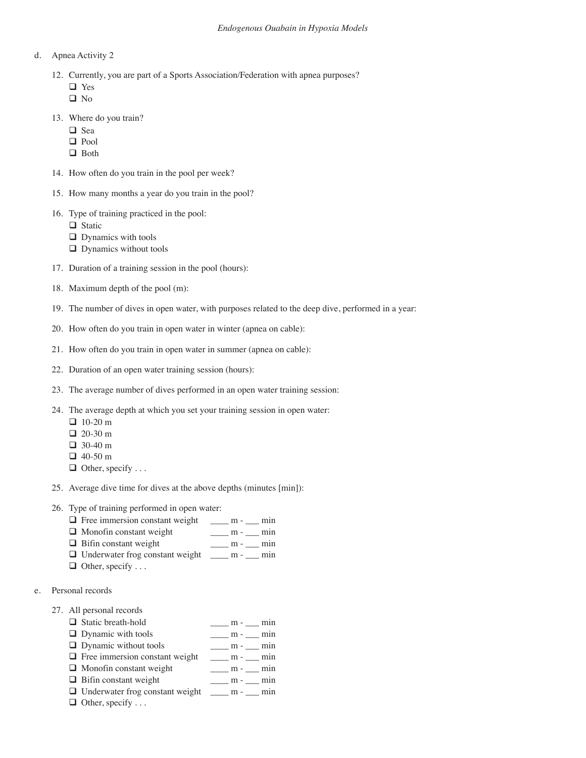- d. Apnea Activity 2
	- 12. Currently, you are part of a Sports Association/Federation with apnea purposes?
		- □ Yes
		- □ No
	- 13. Where do you train?
		- □ Sea
		- □ Pool
		- □ Both
	- 14. How often do you train in the pool per week?
	- 15. How many months a year do you train in the pool?
	- 16. Type of training practiced in the pool:
		- □ Static
		- $\Box$  Dynamics with tools
		- **Q** Dynamics without tools
	- 17. Duration of a training session in the pool (hours):
	- 18. Maximum depth of the pool (m):
	- 19. The number of dives in open water, with purposes related to the deep dive, performed in a year:
	- 20. How often do you train in open water in winter (apnea on cable):
	- 21. How often do you train in open water in summer (apnea on cable):
	- 22. Duration of an open water training session (hours):
	- 23. The average number of dives performed in an open water training session:
	- 24. The average depth at which you set your training session in open water:
		- □ 10-20 m
		- $\Box$  20-30 m
		- □ 30-40 m
		- 40-50 m
		- $\Box$  Other, specify ...
	- 25. Average dive time for dives at the above depths (minutes [min]):
	- 26. Type of training performed in open water:
		- $\Box$  Free immersion constant weight  $\Box$  m  $\Box$  min
		- Monofin constant weight \_\_\_\_ m \_\_\_ min
		- $\Box$  Bifin constant weight \_\_\_\_\_ m \_\_\_ min
		- Underwater frog constant weight \_\_\_\_ m \_\_\_ min
		- $\Box$  Other, specify ...
- e. Personal records
	- 27. All personal records

| $\Box$ Static breath-hold                                    | $m-$ min                            |
|--------------------------------------------------------------|-------------------------------------|
| $\Box$ Dynamic with tools                                    | $m - m$ m = $\frac{m}{m}$           |
| $\Box$ Dynamic without tools                                 | $\frac{m}{m}$ - $\frac{m}{m}$ min   |
| $\Box$ Free immersion constant weight _____ m - ____ min     |                                     |
| $\Box$ Monofin constant weight                               | $\frac{m}{2}$ m - $\frac{m}{2}$ min |
| $\Box$ Bifin constant weight                                 | $\frac{m}{2}$ m - $\frac{m}{2}$ min |
| $\Box$ Underwater frog constant weight $\Box$ m - $\Box$ min |                                     |
|                                                              |                                     |

 $\Box$  Other, specify ...